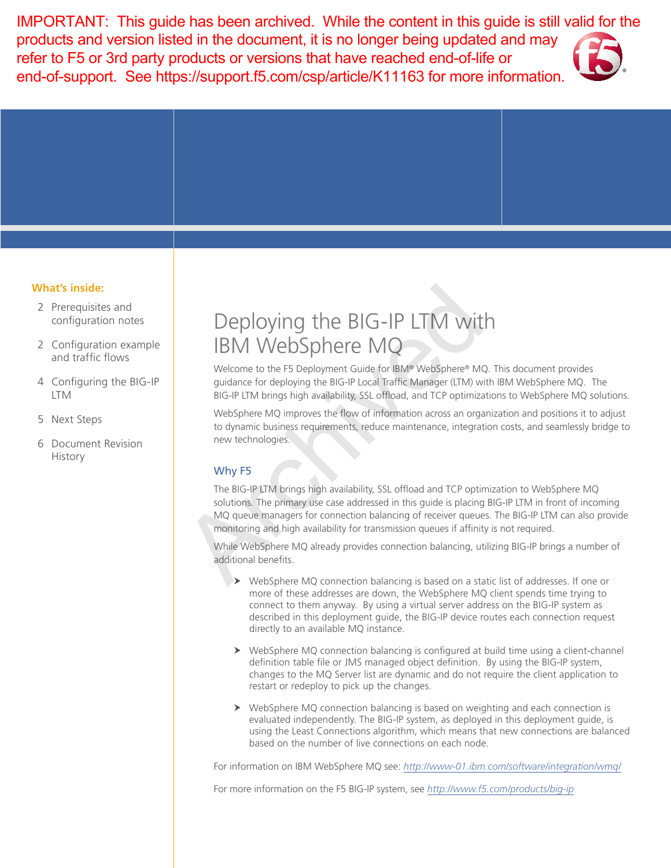IMPORTANT: This guide has been archived. While the content in this guide is still valid for the products and version listed in the document, it is no longer being updated and may refer to F5 or 3rd party products or versions that have reached end-of-life or end-of-support. See https://support.f5.com/csp/article/K11163 for more information.



## **What's inside:**

- 2 [Prerequisites and](#page-1-0)  [configuration notes](#page-1-0)
- 2 [Configuration example](#page-1-0)  [and traffic flows](#page-1-0)
- 4 [Configuring the BIG-IP](#page-3-0)  [LTM](#page-3-0)
- 5 [Next Steps](#page-4-0)
- 6 [Document Revision](#page-6-0)  [History](#page-6-0)

# Deploying the BIG-IP LTM with IBM WebSphere MQ

Welcome to the F5 Deployment Guide for IBM® WebSphere® MQ. This document provides guidance for deploying the BIG-IP Local Traffic Manager (LTM) with IBM WebSphere MQ. The BIG-IP LTM brings high availability, SSL offload, and TCP optimizations to WebSphere MQ solutions.

WebSphere MQ improves the flow of information across an organization and positions it to adjust to dynamic business requirements, reduce maintenance, integration costs, and seamlessly bridge to new technologies.

# Why F5

The BIG-IP LTM brings high availability, SSL offload and TCP optimization to WebSphere MQ solutions. The primary use case addressed in this guide is placing BIG-IP LTM in front of incoming MQ queue managers for connection balancing of receiver queues. The BIG-IP LTM can also provide monitoring and high availability for transmission queues if affinity is not required. Deploying the BIG-IP LTM with<br>
IBM WebSphere MQ<br>
Welcome to the F5 Deployment Guide for IBM® WebSphere® MC<br>
guidance for deploying the BIG-IP Local Traffic Manager (LTM) wi<br>
BIG-IP LTM brings high availability, SSL offload

While WebSphere MQ already provides connection balancing, utilizing BIG-IP brings a number of additional benefits.

- $\triangleright$  WebSphere MQ connection balancing is based on a static list of addresses. If one or more of these addresses are down, the WebSphere MQ client spends time trying to connect to them anyway. By using a virtual server address on the BIG-IP system as described in this deployment guide, the BIG-IP device routes each connection request directly to an available MQ instance.
- $\triangleright$  WebSphere MQ connection balancing is configured at build time using a client-channel definition table file or JMS managed object definition. By using the BIG-IP system, changes to the MQ Server list are dynamic and do not require the client application to restart or redeploy to pick up the changes.
- $\triangleright$  WebSphere MQ connection balancing is based on weighting and each connection is evaluated independently. The BIG-IP system, as deployed in this deployment guide, is using the Least Connections algorithm, which means that new connections are balanced based on the number of live connections on each node.

For information on IBM WebSphere MQ see: *http://www-01.ibm.com/software/integration/wmq/*

For more information on the F5 BIG-IP system, see *http://www.f5.com/products/big-ip*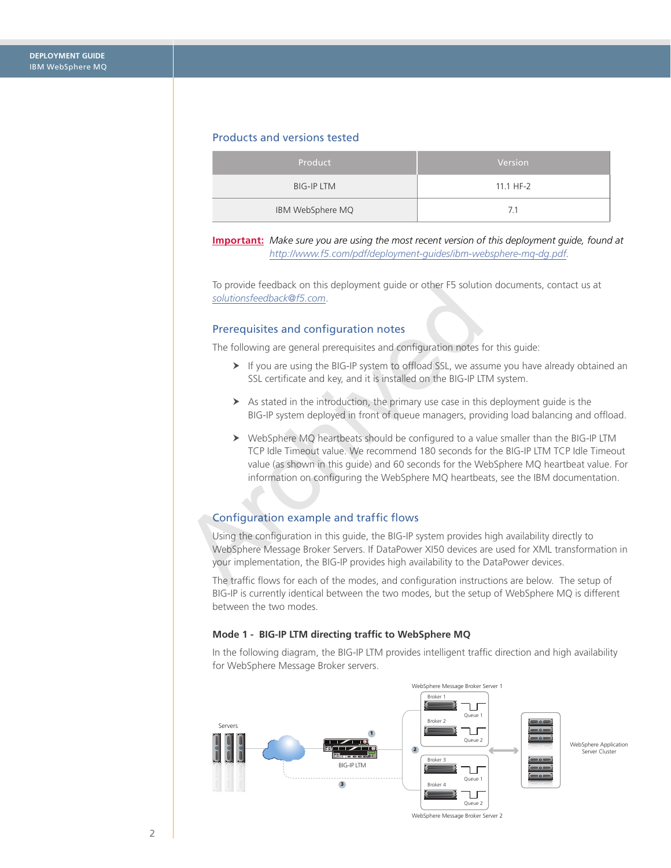#### <span id="page-1-0"></span>Products and versions tested

| Product           | Version   |
|-------------------|-----------|
| <b>BIG-IP LTM</b> | 11.1 HF-2 |
| IBM WebSphere MQ  | 7.1       |

**Important:** *Make sure you are using the most recent version of this deployment guide, found at http://www.f5.com/pdf/deployment-guides/ibm-websphere-mq-dg.pdf.*

To provide feedback on this deployment guide or other F5 solution documents, contact us at *solutionsfeedback@f5.com*.

#### Prerequisites and configuration notes

The following are general prerequisites and configuration notes for this guide:

- $\blacktriangleright$  If you are using the BIG-IP system to offload SSL, we assume you have already obtained an SSL certificate and key, and it is installed on the BIG-IP LTM system.
- $\triangleright$  As stated in the introduction, the primary use case in this deployment guide is the BIG-IP system deployed in front of queue managers, providing load balancing and offload.
- $\triangleright$  WebSphere MQ heartbeats should be configured to a value smaller than the BIG-IP LTM TCP Idle Timeout value. We recommend 180 seconds for the BIG-IP LTM TCP Idle Timeout value (as shown in this guide) and 60 seconds for the WebSphere MQ heartbeat value. For information on configuring the WebSphere MQ heartbeats, see the IBM documentation. Io provide Teedback on this deployment guide or other F5 solutions feedback @f5.com.<br>
Prerequisites and configuration notes<br>
The following are general prerequisites and configuration notes<br>
F F following are general prere

#### Configuration example and traffic flows

Using the configuration in this guide, the BIG-IP system provides high availability directly to WebSphere Message Broker Servers. If DataPower XI50 devices are used for XML transformation in your implementation, the BIG-IP provides high availability to the DataPower devices.

The traffic flows for each of the modes, and configuration instructions are below. The setup of BIG-IP is currently identical between the two modes, but the setup of WebSphere MQ is different between the two modes.

#### **Mode 1 - BIG-IP LTM directing traffic to WebSphere MQ**

In the following diagram, the BIG-IP LTM provides intelligent traffic direction and high availability for WebSphere Message Broker servers.



WebSphere Message Broker Server 2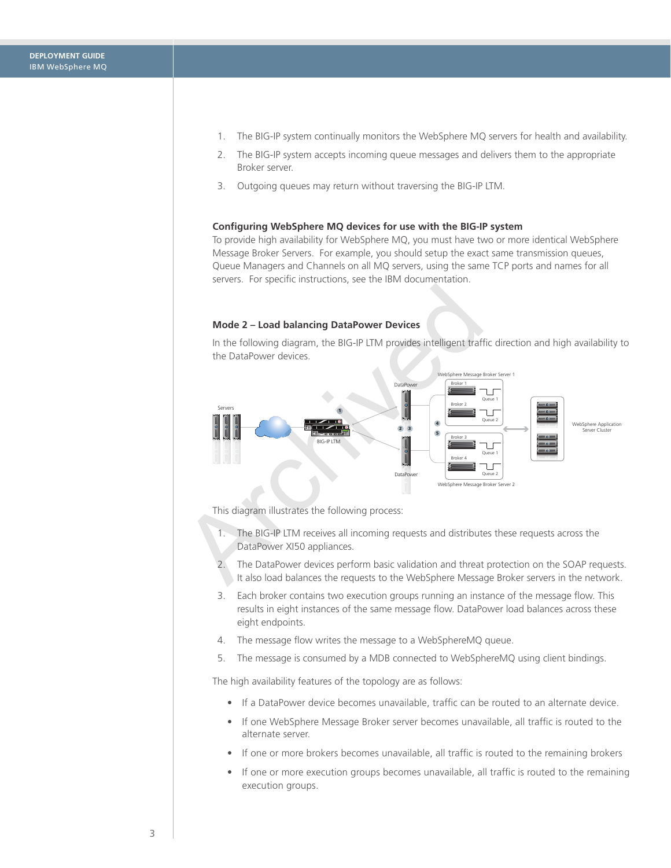- 1. The BIG-IP system continually monitors the WebSphere MQ servers for health and availability.
- 2. The BIG-IP system accepts incoming queue messages and delivers them to the appropriate Broker server.
- 3. Outgoing queues may return without traversing the BIG-IP LTM.

#### **Configuring WebSphere MQ devices for use with the BIG-IP system**

To provide high availability for WebSphere MQ, you must have two or more identical WebSphere Message Broker Servers. For example, you should setup the exact same transmission queues, Queue Managers and Channels on all MQ servers, using the same TCP ports and names for all servers. For specific instructions, see the IBM documentation.

#### **Mode 2 – Load balancing DataPower Devices**

In the following diagram, the BIG-IP LTM provides intelligent traffic direction and high availability to the DataPower devices.



This diagram illustrates the following process:

- 1. The BIG-IP LTM receives all incoming requests and distributes these requests across the DataPower XI50 appliances.
- 2. The DataPower devices perform basic validation and threat protection on the SOAP requests. It also load balances the requests to the WebSphere Message Broker servers in the network.
- 3. Each broker contains two execution groups running an instance of the message flow. This results in eight instances of the same message flow. DataPower load balances across these eight endpoints.
- 4. The message flow writes the message to a WebSphereMQ queue.
- 5. The message is consumed by a MDB connected to WebSphereMQ using client bindings.

The high availability features of the topology are as follows:

- If a DataPower device becomes unavailable, traffic can be routed to an alternate device.
- • If one WebSphere Message Broker server becomes unavailable, all traffic is routed to the alternate server.
- If one or more brokers becomes unavailable, all traffic is routed to the remaining brokers
- If one or more execution groups becomes unavailable, all traffic is routed to the remaining execution groups.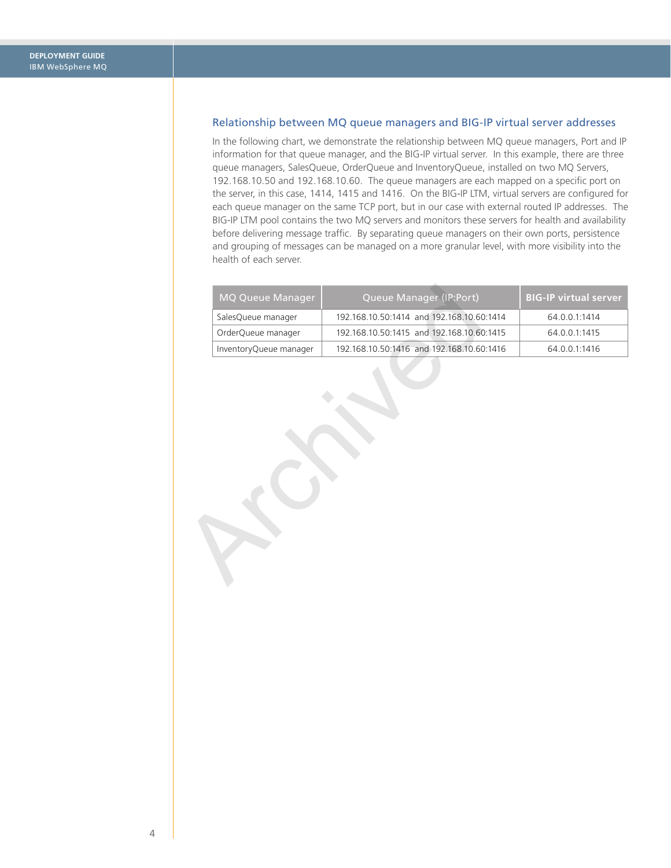## <span id="page-3-0"></span>Relationship between MQ queue managers and BIG-IP virtual server addresses

In the following chart, we demonstrate the relationship between MQ queue managers, Port and IP information for that queue manager, and the BIG-IP virtual server. In this example, there are three queue managers, SalesQueue, OrderQueue and InventoryQueue, installed on two MQ Servers, 192.168.10.50 and 192.168.10.60. The queue managers are each mapped on a specific port on the server, in this case, 1414, 1415 and 1416. On the BIG-IP LTM, virtual servers are configured for each queue manager on the same TCP port, but in our case with external routed IP addresses. The BIG-IP LTM pool contains the two MQ servers and monitors these servers for health and availability before delivering message traffic. By separating queue managers on their own ports, persistence and grouping of messages can be managed on a more granular level, with more visibility into the health of each server.

| <b>MQ Queue Manager</b> | Queue Manager (IP:Port)                   | <b>BIG-IP virtual server</b> |
|-------------------------|-------------------------------------------|------------------------------|
| SalesQueue manager      | 192.168.10.50:1414 and 192.168.10.60:1414 | 64.0.0.1:1414                |
| OrderQueue manager      | 192.168.10.50:1415 and 192.168.10.60:1415 | 64.0.0.1:1415                |
| InventoryQueue manager  | 192.168.10.50:1416 and 192.168.10.60:1416 | 64.0.0.1:1416                |
|                         |                                           |                              |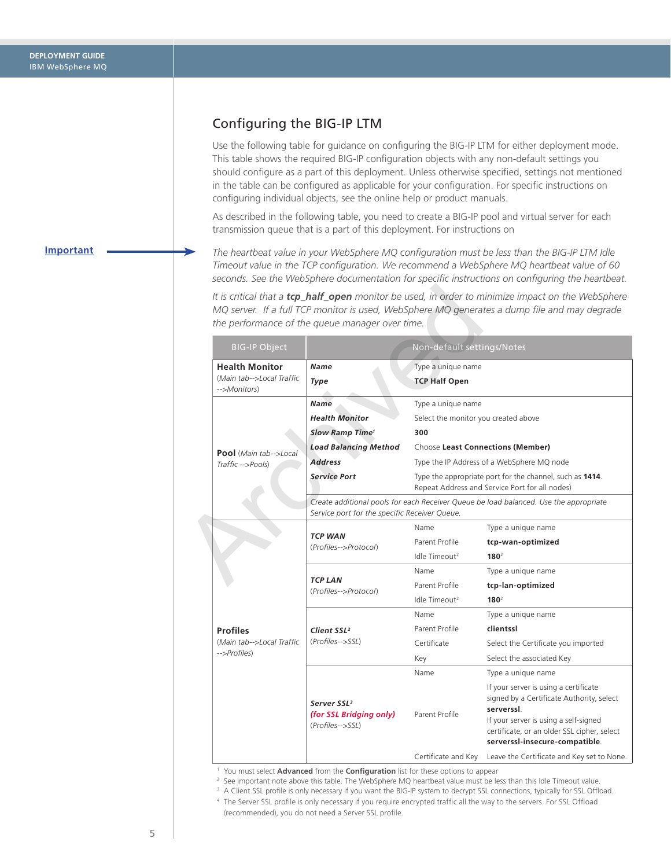# <span id="page-4-1"></span><span id="page-4-0"></span>Configuring the BIG-IP LTM

Use the following table for guidance on configuring the BIG-IP LTM for either deployment mode. This table shows the required BIG-IP configuration objects with any non-default settings you should configure as a part of this deployment. Unless otherwise specified, settings not mentioned in the table can be configured as applicable for your configuration. For specific instructions on configuring individual objects, see the online help or product manuals.

As described in the following table, you need to create a BIG-IP pool and virtual server for each transmission queue that is a part of this deployment. For instructions on

*The heartbeat value in your WebSphere MQ configuration must be less than the BIG-IP LTM Idle Timeout value in the TCP configuration. We recommend a WebSphere MQ heartbeat value of 60 seconds. See the WebSphere documentation for specific instructions on configuring the heartbeat.*

|                                           | the performance of the queue manager over time.                                                                                        |                                                                                                            |                                                                                                                                                                                                                            |
|-------------------------------------------|----------------------------------------------------------------------------------------------------------------------------------------|------------------------------------------------------------------------------------------------------------|----------------------------------------------------------------------------------------------------------------------------------------------------------------------------------------------------------------------------|
| <b>BIG-IP Object</b>                      |                                                                                                                                        | Non-default settings/Notes                                                                                 |                                                                                                                                                                                                                            |
| <b>Health Monitor</b>                     | <b>Name</b>                                                                                                                            | Type a unique name                                                                                         |                                                                                                                                                                                                                            |
| (Main tab-->Local Traffic<br>-->Monitors) | Type                                                                                                                                   | <b>TCP Half Open</b>                                                                                       |                                                                                                                                                                                                                            |
|                                           | <b>Name</b>                                                                                                                            | Type a unique name                                                                                         |                                                                                                                                                                                                                            |
|                                           | <b>Health Monitor</b>                                                                                                                  | Select the monitor you created above                                                                       |                                                                                                                                                                                                                            |
|                                           | Slow Ramp Time <sup>1</sup>                                                                                                            | 300                                                                                                        |                                                                                                                                                                                                                            |
| <b>Pool</b> (Main tab-->Local             | <b>Load Balancing Method</b>                                                                                                           | Choose Least Connections (Member)                                                                          |                                                                                                                                                                                                                            |
| Traffic -->Pools)                         | <b>Address</b>                                                                                                                         | Type the IP Address of a WebSphere MQ node                                                                 |                                                                                                                                                                                                                            |
|                                           | <b>Service Port</b>                                                                                                                    | Type the appropriate port for the channel, such as 1414.<br>Repeat Address and Service Port for all nodes) |                                                                                                                                                                                                                            |
|                                           | Create additional pools for each Receiver Queue be load balanced. Use the appropriate<br>Service port for the specific Receiver Queue. |                                                                                                            |                                                                                                                                                                                                                            |
|                                           | <b>TCP WAN</b><br>(Profiles-->Protocol)                                                                                                | Name                                                                                                       | Type a unique name                                                                                                                                                                                                         |
|                                           |                                                                                                                                        | Parent Profile                                                                                             | tcp-wan-optimized                                                                                                                                                                                                          |
|                                           |                                                                                                                                        | Idle Timeout <sup>2</sup>                                                                                  | $180^2$                                                                                                                                                                                                                    |
|                                           |                                                                                                                                        | Name                                                                                                       | Type a unique name                                                                                                                                                                                                         |
|                                           | <b>TCP LAN</b><br>(Profiles-->Protocol)                                                                                                | Parent Profile                                                                                             | tcp-lan-optimized                                                                                                                                                                                                          |
|                                           |                                                                                                                                        | Idle Timeout <sup>2</sup>                                                                                  | $180^2$                                                                                                                                                                                                                    |
|                                           |                                                                                                                                        | Name                                                                                                       | Type a unique name                                                                                                                                                                                                         |
| <b>Profiles</b>                           | Client SSL <sup>2</sup>                                                                                                                | Parent Profile                                                                                             | clientssl                                                                                                                                                                                                                  |
| (Main tab-->Local Traffic<br>-->Profiles) | (Profiles-->SSL)                                                                                                                       | Certificate                                                                                                | Select the Certificate you imported                                                                                                                                                                                        |
|                                           |                                                                                                                                        | Key                                                                                                        | Select the associated Key                                                                                                                                                                                                  |
|                                           |                                                                                                                                        | Name                                                                                                       | Type a unique name                                                                                                                                                                                                         |
|                                           |                                                                                                                                        |                                                                                                            |                                                                                                                                                                                                                            |
|                                           | Server SSL <sup>3</sup><br>(for SSL Bridging only)<br>(Profiles-->SSL)                                                                 | Parent Profile                                                                                             | If your server is using a certificate<br>signed by a Certificate Authority, select<br>serverssl.<br>If your server is using a self-signed<br>certificate, or an older SSL cipher, select<br>serverssl-insecure-compatible. |

<sup>1</sup> You must select **Advanced** from the **Configuration** list for these options to appear

<sup>2</sup> See important note above this table. The WebSphere MQ heartbeat value must be less than this Idle Timeout value.

<sup>3</sup> A Client SSL profile is only necessary if you want the BIG-IP system to decrypt SSL connections, typically for SSL Offload.

*4* The Server SSL profile is only necessary if you require encrypted traffic all the way to the servers. For SSL Offload (recommended), you do not need a Server SSL profile.

#### **Important**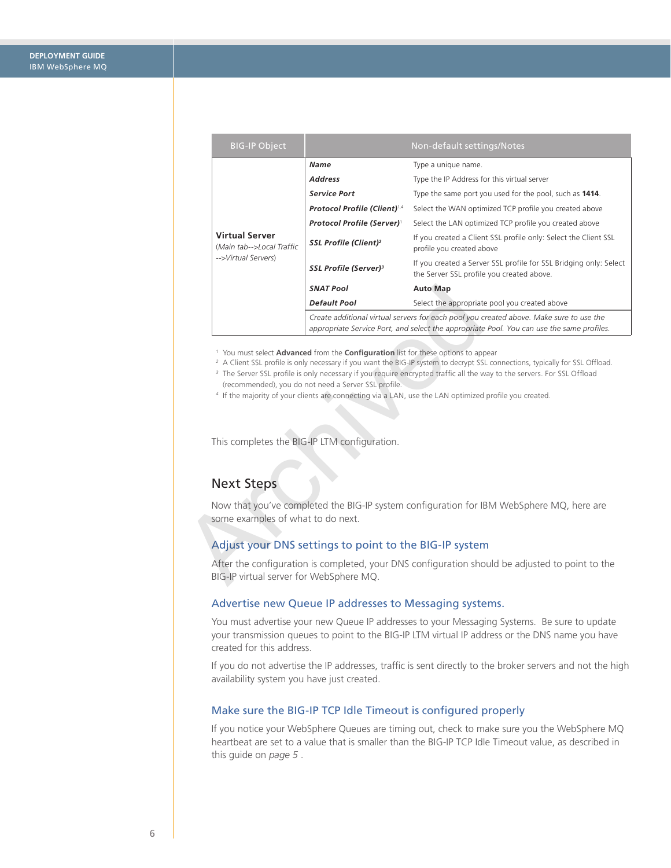| <b>BIG-IP Object</b>                                                                                                                                                                                                                |                                                                                                                                                                                      | Non-default settings/Notes                                                                                     |  |  |
|-------------------------------------------------------------------------------------------------------------------------------------------------------------------------------------------------------------------------------------|--------------------------------------------------------------------------------------------------------------------------------------------------------------------------------------|----------------------------------------------------------------------------------------------------------------|--|--|
|                                                                                                                                                                                                                                     | <b>Name</b>                                                                                                                                                                          | Type a unique name.                                                                                            |  |  |
|                                                                                                                                                                                                                                     | <b>Address</b>                                                                                                                                                                       | Type the IP Address for this virtual server                                                                    |  |  |
|                                                                                                                                                                                                                                     | <b>Service Port</b>                                                                                                                                                                  | Type the same port you used for the pool, such as 1414.                                                        |  |  |
|                                                                                                                                                                                                                                     | Protocol Profile (Client)1,4                                                                                                                                                         | Select the WAN optimized TCP profile you created above                                                         |  |  |
|                                                                                                                                                                                                                                     | Protocol Profile (Server) <sup>1</sup>                                                                                                                                               | Select the LAN optimized TCP profile you created above                                                         |  |  |
| <b>Virtual Server</b><br>(Main tab-->Local Traffic<br>-->Virtual Servers)                                                                                                                                                           | SSL Profile (Client) <sup>2</sup>                                                                                                                                                    | If you created a Client SSL profile only: Select the Client SSL<br>profile you created above                   |  |  |
|                                                                                                                                                                                                                                     | SSL Profile (Server) <sup>3</sup>                                                                                                                                                    | If you created a Server SSL profile for SSL Bridging only: Select<br>the Server SSL profile you created above. |  |  |
|                                                                                                                                                                                                                                     | <b>SNAT Pool</b>                                                                                                                                                                     | <b>Auto Map</b>                                                                                                |  |  |
|                                                                                                                                                                                                                                     | <b>Default Pool</b>                                                                                                                                                                  | Select the appropriate pool you created above                                                                  |  |  |
|                                                                                                                                                                                                                                     | Create additional virtual servers for each pool you created above. Make sure to use the<br>appropriate Service Port, and select the appropriate Pool. You can use the same profiles. |                                                                                                                |  |  |
| (recommended), you do not need a Server SSL profile.<br>4 If the majority of your clients are connecting via a LAN, use the LAN optimized profile you created.<br>This completes the BIG-IP LTM configuration.<br><b>Next Steps</b> |                                                                                                                                                                                      |                                                                                                                |  |  |
|                                                                                                                                                                                                                                     |                                                                                                                                                                                      |                                                                                                                |  |  |
| Now that you've completed the BIG-IP system configuration for IBM WebSphere MQ, here are<br>some examples of what to do next.                                                                                                       |                                                                                                                                                                                      |                                                                                                                |  |  |
| Adjust your DNS settings to point to the BIG-IP system                                                                                                                                                                              |                                                                                                                                                                                      |                                                                                                                |  |  |
| After the configuration is completed, your DNS configuration should be adjusted to point to the<br>BIG-IP virtual server for WebSphere MQ.                                                                                          |                                                                                                                                                                                      |                                                                                                                |  |  |

- <sup>2</sup> A Client SSL profile is only necessary if you want the BIG-IP system to decrypt SSL connections, typically for SSL Offload.
- <sup>3</sup> The Server SSL profile is only necessary if you require encrypted traffic all the way to the servers. For SSL Offload (recommended), you do not need a Server SSL profile.
- *4* If the majority of your clients are connecting via a LAN, use the LAN optimized profile you created.

# Next Steps

## Adjust your DNS settings to point to the BIG-IP system

#### Advertise new Queue IP addresses to Messaging systems.

You must advertise your new Queue IP addresses to your Messaging Systems. Be sure to update your transmission queues to point to the BIG-IP LTM virtual IP address or the DNS name you have created for this address.

If you do not advertise the IP addresses, traffic is sent directly to the broker servers and not the high availability system you have just created.

#### Make sure the BIG-IP TCP Idle Timeout is configured properly

If you notice your WebSphere Queues are timing out, check to make sure you the WebSphere MQ heartbeat are set to a value that is smaller than the BIG-IP TCP Idle Timeout value, as described in this guide on *[page 5](#page-4-1)* .